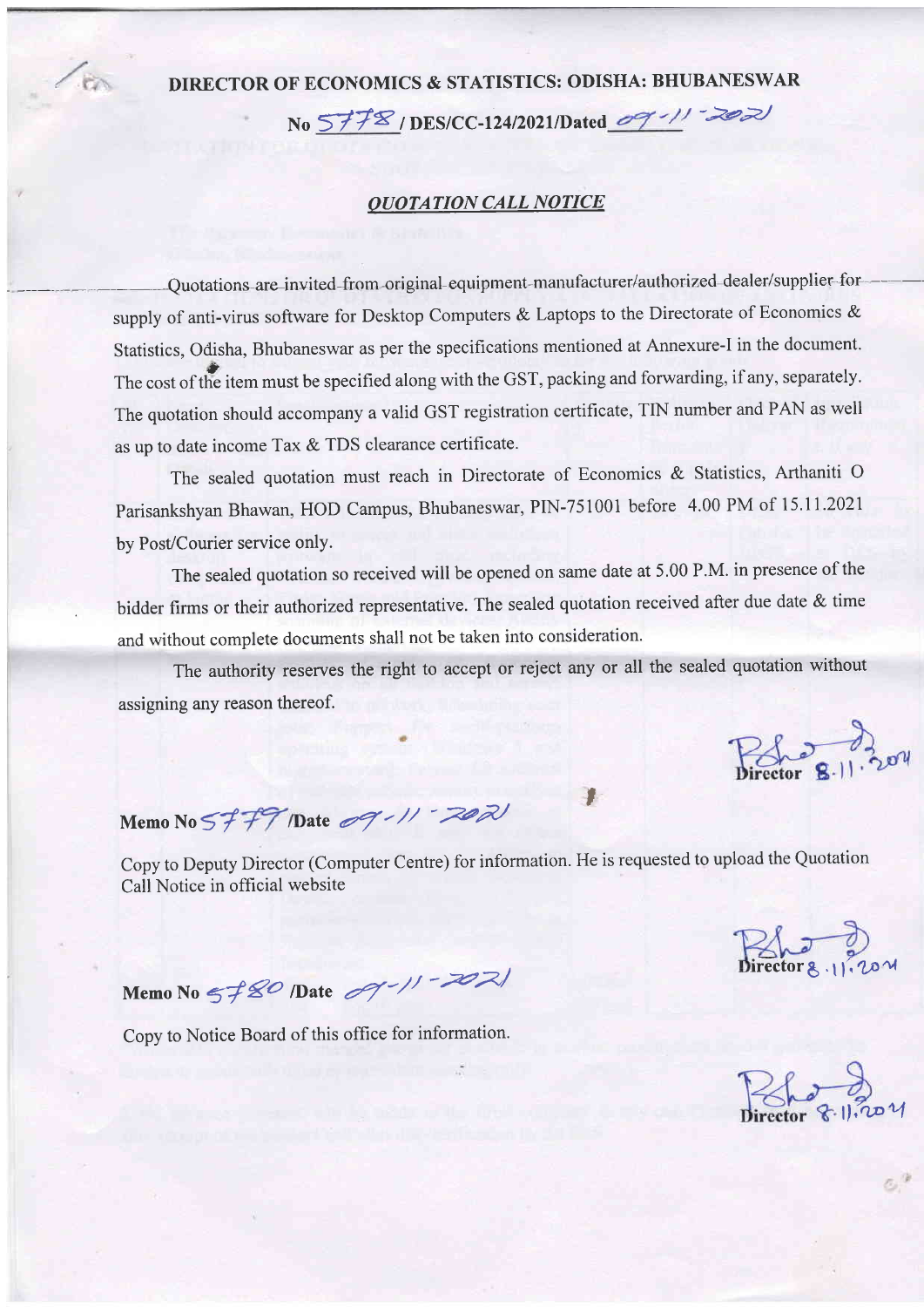## **DIRECTOR OP ECONOMICS** & **STATISTICS: ODISHA: BHUBANESWAR**  No 5778/DES/CC-124/2021/Dated 09-11-2021

### *QUOTA TION CALL NOTICE*

Quotations are invited from original equipment manufacturer/authorized dealer/supplier for supply of anti-virus software for Desktop Computers & Laptops to the Directorate of Economics & tatistics, Odisha, Bhubaneswar as per the specifications mentioned at Annexure-I in the document. The cost of the item must be specified along with the GST, packing and forwarding, if any, separately. The quotation should accompany a valid GST registration certificate, TIN number and PAN as well as up to date income Tax & TDS clearance certificate.

The sealed quotation must reach in Directorate of Economics & Statistics, Arthaniti 0 Parisankshyan Bhawan, HOD Campus, Bhubaneswar, PIN-75 1001 before 4.00 PM of 15.1 I .2021 by Post/Courier service only.

The sealed quotation so received will be opened on same date at 5.00 P.M. in presence of the bidder firms or their authorized representative. The sealed quotation received after due date & time and without complete documents shall not be taken into consideration.

The authority reserves the right to accept or reject any or all the sealed quotation without assigning any reason thereof.

 $P_{\text{sho}}$   $P_{\text{all}}$   $P_{\text{all}}$ 

# **Memo No 5~~fI)ate y-//**

Copy to Deputy Director (Computer Centre) for information. He is requested to upload the Quotation Call Notice in official website

**i**<br>Birector 8.11.201

 $\sim$  ,

' *I* 

Memo No 5780 Date  $\mathcal{A}$ -11 - 2021

Copy to Notice Board of this office for information.

Pole 8-11-20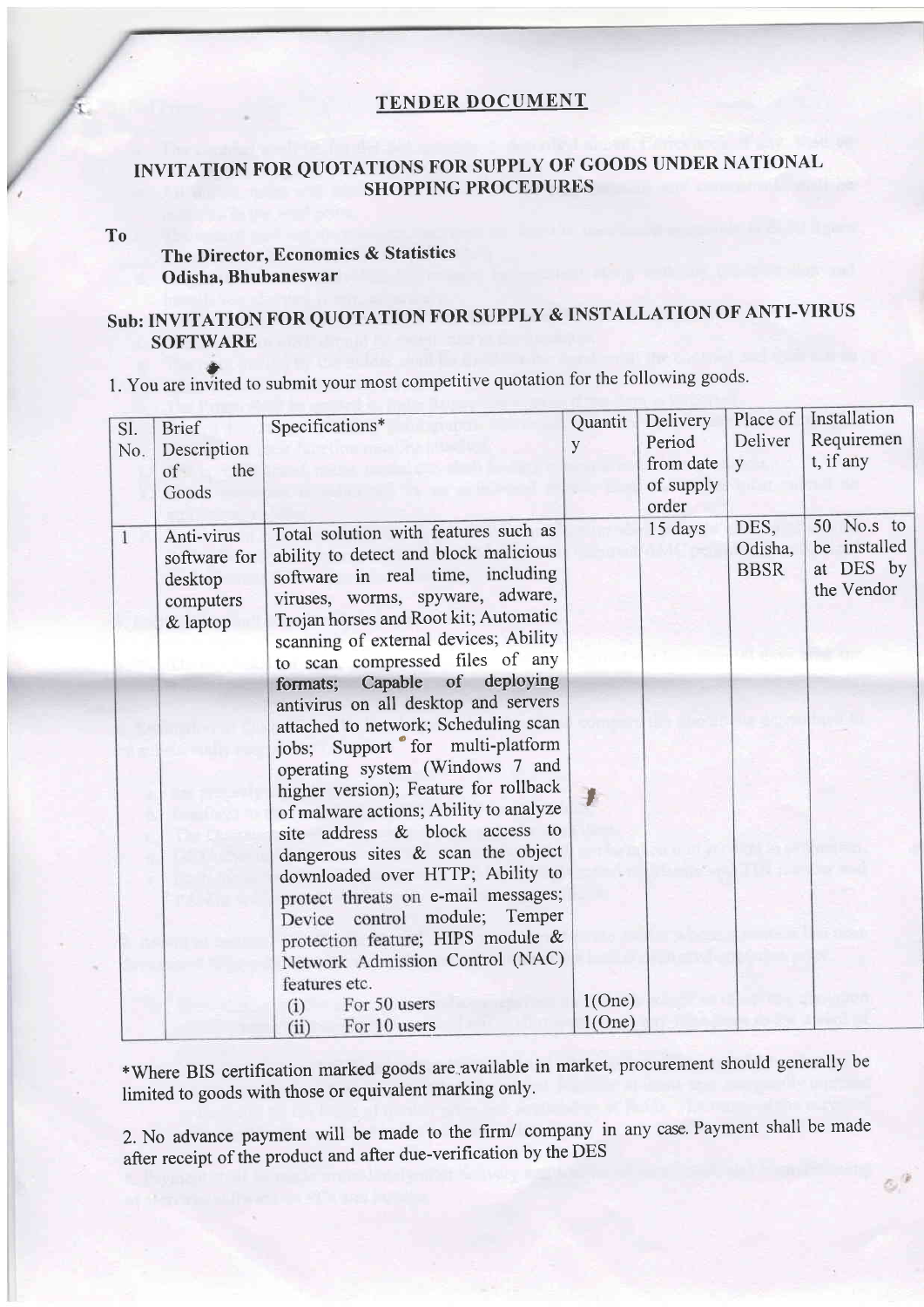#### **TENDER DOCUMENT**

## **INVITATION FOR QUOTATIONS FOR SUPPLY OF GOODS UNDER NATTONAI, SHOPPING PROCEDURES**

#### **To**

## **The Director, Economics** & **Statistics Odisha, Bhubaneswar**

## **Sub: INVITATION FOR QUOTATION FOR SUPPLY** & **INSTALLATION OF ANTI-VIRUS I** - **SOFTWARE**

**0**  1. You are invited to submit your most competitive quotation for the following goods.

| Sl.<br>No.   | <b>Brief</b><br>Description<br>the<br>of<br>Goods              | Specifications*                                                                                                                                                                                                                                                                                                                                                                                                                                                                                                                                                                                                                                                                                                                                                                                                                                                | Quantit<br>y | Delivery<br>Period<br>from date<br>of supply<br>order | Place of<br>Deliver<br>y       | Installation<br>Requiremen<br>t, if any               |
|--------------|----------------------------------------------------------------|----------------------------------------------------------------------------------------------------------------------------------------------------------------------------------------------------------------------------------------------------------------------------------------------------------------------------------------------------------------------------------------------------------------------------------------------------------------------------------------------------------------------------------------------------------------------------------------------------------------------------------------------------------------------------------------------------------------------------------------------------------------------------------------------------------------------------------------------------------------|--------------|-------------------------------------------------------|--------------------------------|-------------------------------------------------------|
| $\mathbf{1}$ | Anti-virus<br>software for<br>desktop<br>computers<br>& laptop | Total solution with features such as<br>ability to detect and block malicious<br>software in real time, including<br>viruses, worms, spyware, adware,<br>Trojan horses and Root kit; Automatic<br>scanning of external devices; Ability<br>to scan compressed files of any<br>Capable of<br>deploying<br>formats;<br>antivirus on all desktop and servers<br>attached to network; Scheduling scan<br>jobs; Support for multi-platform<br>operating system (Windows 7 and<br>higher version); Feature for rollback<br>of malware actions; Ability to analyze<br>site address & block access to<br>dangerous sites & scan the object<br>downloaded over HTTP; Ability to<br>protect threats on e-mail messages;<br>Device control module; Temper<br>protection feature; HIPS module &<br>Network Admission Control (NAC)<br>features etc.<br>For 50 users<br>(i) | 1(One)       | 15 days                                               | DES,<br>Odisha,<br><b>BBSR</b> | 50 No.s to<br>be installed<br>at DES by<br>the Vendor |
|              |                                                                | For 10 users<br>(ii)                                                                                                                                                                                                                                                                                                                                                                                                                                                                                                                                                                                                                                                                                                                                                                                                                                           | 1(One)       |                                                       |                                |                                                       |

\*Where BIS certification marked goods are available in market, procurement should generally be limited to goods with those or equivalent marking only.

2. No advance payment will be made to the firm/ company in any case. Payment shall be made after receipt of the product and after due-verification by the DES

**,i**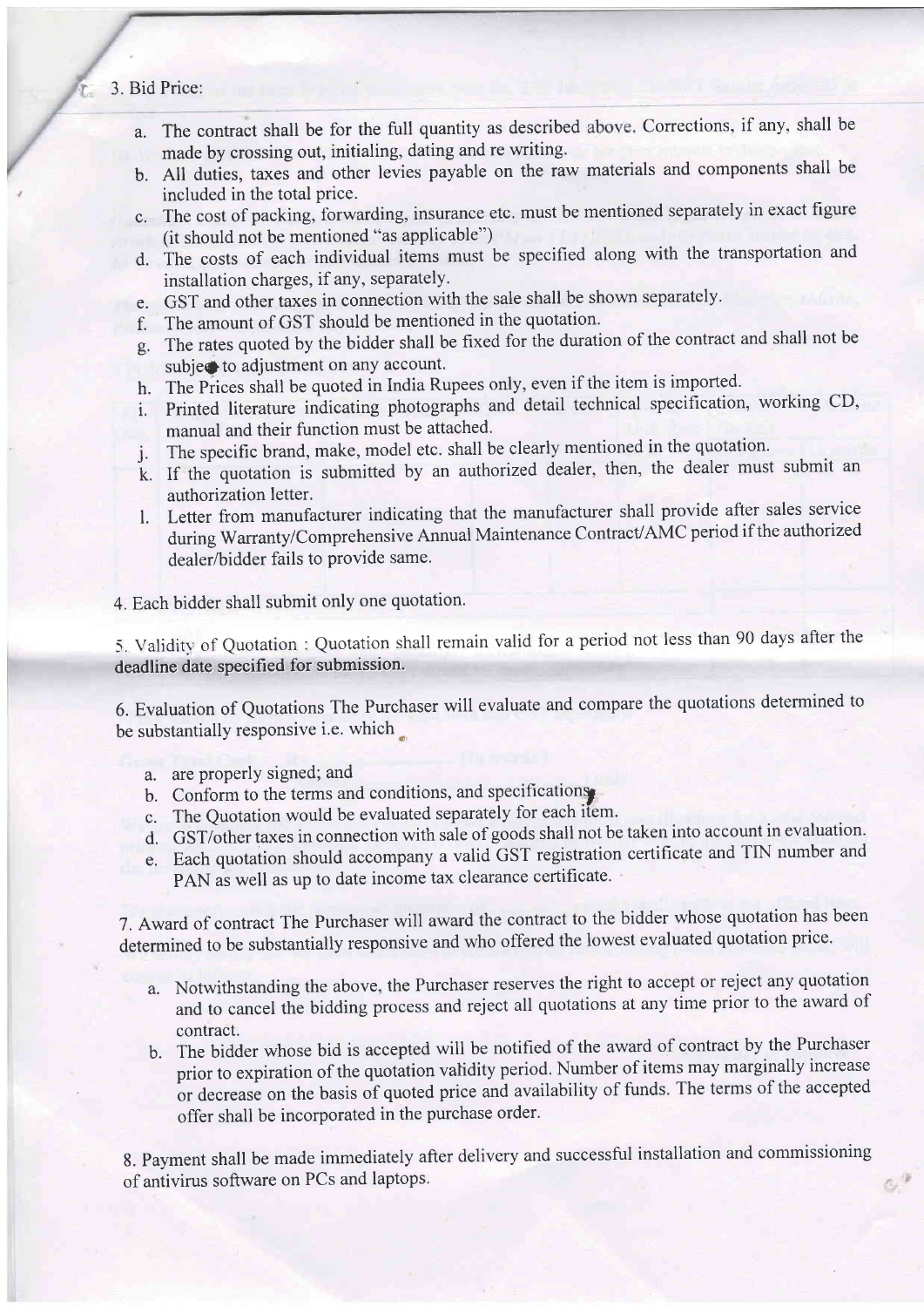- 3. Bid Price:
	- a. The contract shall be for the full quantity as described above. Corrections, if any, shall be made by crossing out, initialing, dating and re writing.
	- b. All duties, taxes and other levies payable on the raw materials and components shall be included in the total price.
	- c. The cost of packing, forwarding, insurance etc. must be mentioned separately in exact figure (it should not be mentioned "as applicable")
	- d. The costs of each individual items must be specified along with the transportation and installation charges, if any, separately.
	- e. GST and other taxes in connection with the sale shall be shown separately.
	- f. The amount of GST should be mentioned in the quotation.
	- g. The rates quoted by the bidder shall be fixed for the duration of the contract and shall not be subject to adjustment on any account.
	- h. The Prices shall be quoted in India Rupees only, even if the item is imported.
	- i. Printed literature indicating photographs and detail technical specification, working CD, manual and their function must be attached.
	- j. The specific brand, make, model etc. shall be clearly mentioned in the quotation.
	- External or authorization is submitted by an authorized dealer, then, the dealer must submit an authorization letter.
	- 1. Letter from manufacturer indicating that the manufacturer shall provide after sales service luring Warranty/Comprehensive Annual Maintenance Contract/AMC period if the authorized<br>lealer/bidder fails to provide same.

4. Each bidder shall submit only one quotation.

*5.* Validity of Quotation : Quotation shall remain valid for a period not less than 90 days after the deadline date specified for submission.

6. Evaluation of Quotations The Purchaser will evaluate and compare the quotations determined to be substantially responsive i.e. which **<sup>a</sup>**

- a. are properly signed; and
- b. Conform to the terms and conditions, and specifications.
- c. The Quotation would be evaluated separately for each item.
- d. GST/other taxes in connection with sale of goods shall not be taken into account in evaluation.
- e. Each quotation should accompany a valid GST registration certificate and TIN number and PAN as well as up to date income tax clearance certificate.

7. Award of contract The Purchaser will award the contract to the bidder whose quotation has been determined to be substantially responsive and who offered the lowest evaluated quotation price.

- a. Notwithstanding the above, the Purchaser reserves the right to accept or reject any quotation and to cancel the bidding process and reject all quotations at any time prior to the award of contract.
- b. The bidder whose bid is accepted will be notified of the award of contract by the Purchaser prior to expiration of the quotation validity period. Number of items may marginally increase or decrease on the basis of quoted price and availability of funds. The terms of the accepted offer shall be incorporated in the purchase order.

8. Payment shall be made immediately after delivery and successful installation and commissioning of antivirus software on PCs and laptops.

 $\sigma^*$